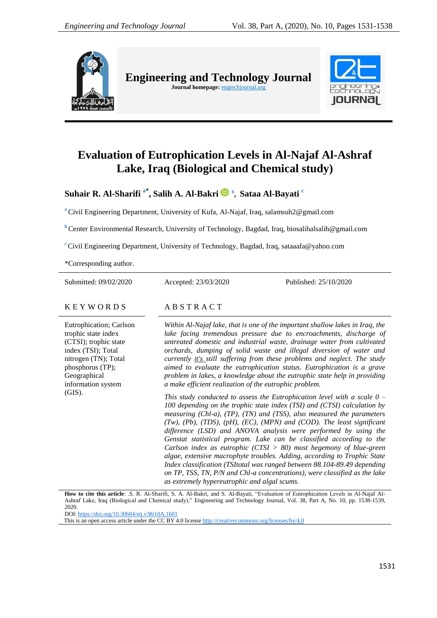

**Engineering and Technology Journal**  Journal homepage: **engtechjournal.org** 



# **Evaluation of Eutrophication Levels in Al-Najaf Al-Ashraf Lake, Iraq (Biological and Chemical study)**

**Suhair R. Al-Sharifi a\* , Salih A. Al-Bakri b , Sataa Al-Bayati <sup>c</sup>**

**<sup>a</sup>** Civil Engineering Department, University of Kufa, Al-Najaf, Iraq, salamsuh2@gmail.com

**b** Center Environmental Research, University of Technology, Bagdad, Iraq, biosalihalsalih@gmail.com

**<sup>c</sup>** Civil Engineering Department, University of Technology, Bagdad, Iraq, sataaafa@yahoo.com

\*Corresponding author.

Submitted: 09/02/2020 Accepted: 23/03/2020 Published: 25/10/2020

### K E Y W O R D S A B S T R A C T

Eutrophication; Carlson trophic state index (CTSI); trophic state index (TSI); Total nitrogen (TN); Total phosphorus (TP); Geographical information system (GIS).

*Within Al-Najaf lake, that is one of the important shallow lakes in Iraq, the lake facing tremendous pressure due to encroachments, discharge of untreated domestic and industrial waste, drainage water from cultivated orchards, dumping of solid waste and illegal diversion of water and currently it's still suffering from these problems and neglect. The study aimed to evaluate the eutrophication status. Eutrophication is a grave problem in lakes, a knowledge about the eutrophic state help in providing a make efficient realization of the eutrophic problem.* 

*This study conducted to assess the Eutrophication level with a scale 0 – 100 depending on the trophic state index (TSI) and (CTSI) calculation by measuring (Chl-a), (TP), (TN) and (TSS), also measured the parameters (Tw), (Pb), (TDS), (pH), (EC), (MPN) and (COD). The least significant difference (LSD) and ANOVA analysis were performed by using the Genstat statistical program. Lake can be classified according to the Carlson index as eutrophic (CTSI > 80) most hegemony of blue-green algae, extensive macrophyte troubles. Adding, according to Trophic State Index classification (TSItotal was ranged between 88.104-89.49 depending on TP, TSS, TN, P/N and Chl-a concentrations), were classified as the lake as extremely hypereutrophic and algal scums.*

**How to cite this article**: .S. R. Al-Sharifi, S. A. Al-Bakri, and S. Al-Bayati, "Evaluation of Eutrophication Levels in Al-Najaf Al-Ashraf Lake, Iraq (Biological and Chemical study)," Engineering and Technology Journal, Vol. 38, Part A, No. 10, pp. 1538-1539, 2020. DOI: <https://doi.org/10.30684/etj.v38i10A.1601>

This is an open access article under the CC BY 4.0 licens[e http://creativecommons.org/licenses/by/4.0](http://creativecommons.org/licenses/by/4.0)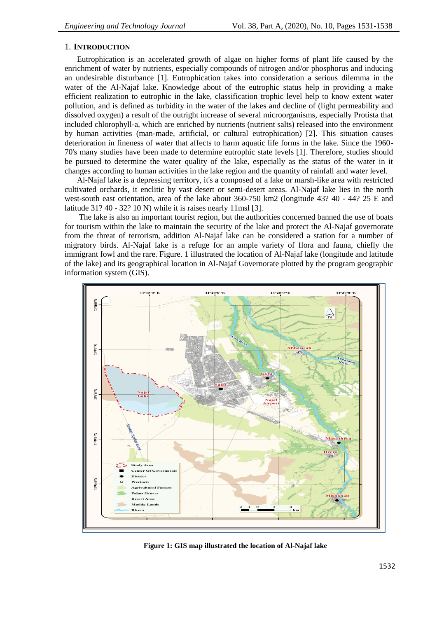# 1. **INTRODUCTION**

Eutrophication is an accelerated growth of algae on higher forms of plant life caused by the enrichment of water by nutrients, especially compounds of nitrogen and/or phosphorus and inducing an undesirable disturbance [1]. Eutrophication takes into consideration a serious dilemma in the water of the Al-Najaf lake. Knowledge about of the eutrophic status help in providing a make efficient realization to eutrophic in the lake, classification trophic level help to know extent water pollution, and is defined as turbidity in the water of the lakes and decline of (light permeability and dissolved oxygen) a result of the outright increase of several microorganisms, especially Protista that included chlorophyll-a, which are enriched by nutrients (nutrient salts) released into the environment by human activities (man-made, artificial, or cultural eutrophication) [2]. This situation causes deterioration in fineness of water that affects to harm aquatic life forms in the lake. Since the 1960- 70's many studies have been made to determine eutrophic state levels [1]. Therefore, studies should be pursued to determine the water quality of the lake, especially as the status of the water in it changes according to human activities in the lake region and the quantity of rainfall and water level.

Al-Najaf lake is a depressing territory, it's a composed of a lake or marsh-like area with restricted cultivated orchards, it enclitic by vast desert or semi-desert areas. Al-Najaf lake lies in the north west-south east orientation, area of the lake about 360-750 km2 (longitude 43? 40 - 44? 25 E and latitude 31? 40 - 32? 10 N) while it is raises nearly 11msl [3].

The lake is also an important tourist region, but the authorities concerned banned the use of boats for tourism within the lake to maintain the security of the lake and protect the Al-Najaf governorate from the threat of terrorism, addition Al-Najaf lake can be considered a station for a number of migratory birds. Al-Najaf lake is a refuge for an ample variety of flora and fauna, chiefly the immigrant fowl and the rare. Figure. 1 illustrated the location of Al-Najaf lake (longitude and latitude of the lake) and its geographical location in Al-Najaf Governorate plotted by the program geographic information system (GIS).



**Figure 1: GIS map illustrated the location of Al-Najaf lake**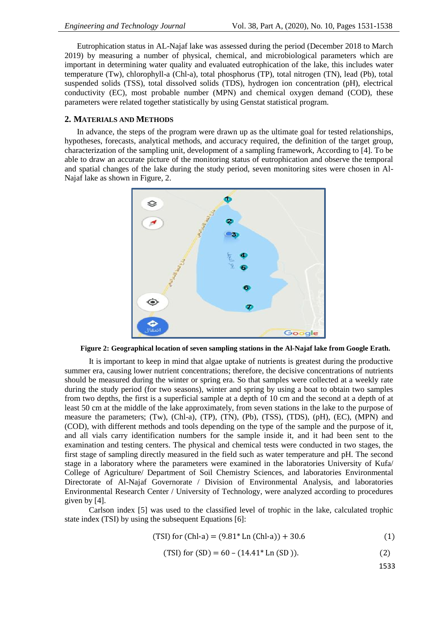Eutrophication status in AL-Najaf lake was assessed during the period (December 2018 to March 2019) by measuring a number of physical, chemical, and microbiological parameters which are important in determining water quality and evaluated eutrophication of the lake, this includes water temperature (Tw), chlorophyll-a (Chl-a), total phosphorus (TP), total nitrogen (TN), lead (Pb), total suspended solids (TSS), total dissolved solids (TDS), hydrogen ion concentration (pH), electrical conductivity (EC), most probable number (MPN) and chemical oxygen demand (COD), these parameters were related together statistically by using Genstat statistical program.

#### **2. MATERIALS AND METHODS**

In advance, the steps of the program were drawn up as the ultimate goal for tested relationships, hypotheses, forecasts, analytical methods, and accuracy required, the definition of the target group, characterization of the sampling unit, development of a sampling framework, According to [4]. To be able to draw an accurate picture of the monitoring status of eutrophication and observe the temporal and spatial changes of the lake during the study period, seven monitoring sites were chosen in Al-Najaf lake as shown in Figure, 2.



**Figure 2: Geographical location of seven sampling stations in the Al-Najaf lake from Google Erath.**

It is important to keep in mind that algae uptake of nutrients is greatest during the productive summer era, causing lower nutrient concentrations; therefore, the decisive concentrations of nutrients should be measured during the winter or spring era. So that samples were collected at a weekly rate during the study period (for two seasons), winter and spring by using a boat to obtain two samples from two depths, the first is a superficial sample at a depth of 10 cm and the second at a depth of at least 50 cm at the middle of the lake approximately, from seven stations in the lake to the purpose of measure the parameters; (Tw), (Chl-a), (TP), (TN), (Pb), (TSS), (TDS), (pH), (EC), (MPN) and (COD), with different methods and tools depending on the type of the sample and the purpose of it, and all vials carry identification numbers for the sample inside it, and it had been sent to the examination and testing centers. The physical and chemical tests were conducted in two stages, the first stage of sampling directly measured in the field such as water temperature and pH. The second stage in a laboratory where the parameters were examined in the laboratories University of Kufa/ College of Agriculture/ Department of Soil Chemistry Sciences, and laboratories Environmental Directorate of Al-Najaf Governorate / Division of Environmental Analysis, and laboratories Environmental Research Center / University of Technology, were analyzed according to procedures given by [4].

Carlson index [5] was used to the classified level of trophic in the lake, calculated trophic state index (TSI) by using the subsequent Equations [6]:

(TSI) for (Chl-a) = 
$$
(9.81 * Ln (Chl-a)) + 30.6
$$
 (1)

(TSI) for (SD) = 
$$
60 - (14.41^* \ln(\text{SD}))
$$
. (2)

1533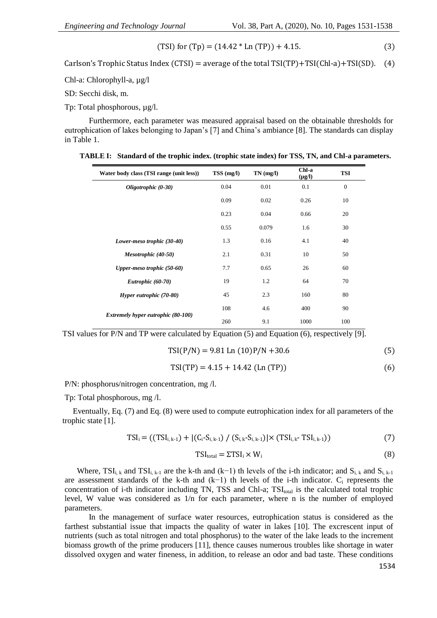(TSI) for 
$$
(Tp) = (14.42 * Ln (TP)) + 4.15.
$$
 (3)

Carlson's Trophic Status Index (CTSI) = average of the total  $TSI(TP) + TSI(ChI-a) + TSI(SD)$ . (4)

Chl-a: Chlorophyll-a, µg/l

SD: Secchi disk, m.

Tp: Total phosphorous, µg/l.

Furthermore, each parameter was measured appraisal based on the obtainable thresholds for eutrophication of lakes belonging to Japan's [7] and China's ambiance [8]. The standards can display in Table 1.

| TABLE I: Standard of the trophic index. (trophic state index) for TSS, TN, and Chl-a parameters. |  |
|--------------------------------------------------------------------------------------------------|--|
|                                                                                                  |  |

| Water body class (TSI range (unit less))  | TSS(mg/l) | $TN$ (mg/l) | Chl-a<br>$(\mu g/I)$ | <b>TSI</b>   |
|-------------------------------------------|-----------|-------------|----------------------|--------------|
| Oligotrophic (0-30)                       | 0.04      | 0.01        | 0.1                  | $\mathbf{0}$ |
|                                           | 0.09      | 0.02        | 0.26                 | 10           |
|                                           | 0.23      | 0.04        | 0.66                 | 20           |
|                                           | 0.55      | 0.079       | 1.6                  | 30           |
| Lower-meso trophic (30-40)                | 1.3       | 0.16        | 4.1                  | 40           |
| Mesotrophic (40-50)                       | 2.1       | 0.31        | 10                   | 50           |
| Upper-meso trophic (50-60)                | 7.7       | 0.65        | 26                   | 60           |
| Eutrophic (60-70)                         | 19        | 1.2         | 64                   | 70           |
| Hyper eutrophic (70-80)                   | 45        | 2.3         | 160                  | 80           |
|                                           | 108       | 4.6         | 400                  | 90           |
| <b>Extremely hyper eutrophic (80-100)</b> | 260       | 9.1         | 1000                 | 100          |

TSI values for P/N and TP were calculated by Equation  $(5)$  and Equation  $(6)$ , respectively [9].

$$
TSI(P/N) = 9.81 \text{ Ln } (10)P/N + 30.6 \tag{5}
$$

$$
TSI(TP) = 4.15 + 14.42 \text{ (Ln (TP))}
$$
 (6)

P/N: phosphorus/nitrogen concentration, mg /l.

Tp: Total phosphorous, mg /l.

Eventually, Eq. (7) and Eq. (8) were used to compute eutrophication index for all parameters of the trophic state [1].

$$
TSI_i = ((TSI_{i,k-1}) + |(C_i - S_{i,k-1}) / (S_{i,k} - S_{i,k-1})| \times (TSI_{i,k} - TSI_{i,k-1}))
$$
\n(7)

$$
TSI_{\text{total}} = \Sigma TSI_i \times W_i \tag{8}
$$

Where, TSI<sub>ik</sub> and TSI<sub>ik-1</sub> are the k-th and (k−1) th levels of the i-th indicator; and S<sub>ik</sub> and S<sub>ik-1</sub> are assessment standards of the k-th and  $(k-1)$  th levels of the i-th indicator.  $C_i$  represents the concentration of i-th indicator including TN, TSS and Chl-a;  $TSI<sub>total</sub>$  is the calculated total trophic level, W value was considered as 1/n for each parameter, where n is the number of employed parameters.

In the management of surface water resources, eutrophication status is considered as the farthest substantial issue that impacts the quality of water in lakes [10]. The excrescent input of nutrients (such as total nitrogen and total phosphorus) to the water of the lake leads to the increment biomass growth of the prime producers [11], thence causes numerous troubles like shortage in water dissolved oxygen and water fineness, in addition, to release an odor and bad taste. These conditions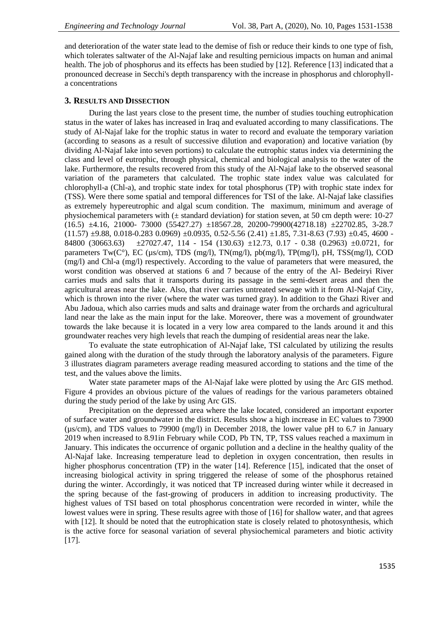and deterioration of the water state lead to the demise of fish or reduce their kinds to one type of fish, which tolerates saltwater of the Al-Najaf lake and resulting pernicious impacts on human and animal health. The job of phosphorus and its effects has been studied by [12]. Reference [13] indicated that a pronounced decrease in Secchi's depth transparency with the increase in phosphorus and chlorophylla concentrations

#### **3. RESULTS AND DISSECTION**

During the last years close to the present time, the number of studies touching eutrophication status in the water of lakes has increased in Iraq and evaluated according to many classifications. The study of Al-Najaf lake for the trophic status in water to record and evaluate the temporary variation (according to seasons as a result of successive dilution and evaporation) and locative variation (by dividing Al-Najaf lake into seven portions) to calculate the eutrophic status index via determining the class and level of eutrophic, through physical, chemical and biological analysis to the water of the lake. Furthermore, the results recovered from this study of the Al-Najaf lake to the observed seasonal variation of the parameters that calculated. The trophic state index value was calculated for chlorophyll-a (Chl-a), and trophic state index for total phosphorus (TP) with trophic state index for (TSS). Were there some spatial and temporal differences for TSI of the lake. Al-Najaf lake classifies as extremely hypereutrophic and algal scum condition. The maximum, minimum and average of physiochemical parameters with  $(\pm$  standard deviation) for station seven, at 50 cm depth were: 10-27 (16.5) ±4.16, 21000- 73000 (55427.27) ±18567.28, 20200-79900(42718.18) ±22702.85, 3-28.7  $(11.57)$   $\pm$ 9.88, 0.018-0.283 0.0969)  $\pm$ 0.0935, 0.52-5.56 (2.41)  $\pm$ 1.85, 7.31-8.63 (7.93)  $\pm$ 0.45, 4600 -84800 (30663.63) ±27027.47, 114 - 154 (130.63) ±12.73, 0.17 - 0.38 (0.2963) ±0.0721, for parameters Tw(C°), EC (µs/cm), TDS (mg/l), TN(mg/l), pb(mg/l), TP(mg/l), pH, TSS(mg/l), COD (mg/l) and Chl-a (mg/l) respectively. According to the value of parameters that were measured, the worst condition was observed at stations 6 and 7 because of the entry of the Al- Bedeiryi River carries muds and salts that it transports during its passage in the semi-desert areas and then the agricultural areas near the lake. Also, that river carries untreated sewage with it from Al-Najaf City, which is thrown into the river (where the water was turned gray). In addition to the Ghazi River and Abu Jadoua, which also carries muds and salts and drainage water from the orchards and agricultural land near the lake as the main input for the lake. Moreover, there was a movement of groundwater towards the lake because it is located in a very low area compared to the lands around it and this groundwater reaches very high levels that reach the dumping of residential areas near the lake.

To evaluate the state eutrophication of Al-Najaf lake, TSI calculated by utilizing the results gained along with the duration of the study through the laboratory analysis of the parameters. Figure 3 illustrates diagram parameters average reading measured according to stations and the time of the test, and the values above the limits.

Water state parameter maps of the Al-Najaf lake were plotted by using the Arc GIS method. Figure 4 provides an obvious picture of the values of readings for the various parameters obtained during the study period of the lake by using Arc GIS.

Precipitation on the depressed area where the lake located, considered an important exporter of surface water and groundwater in the district. Results show a high increase in EC values to 73900 (µs/cm), and TDS values to 79900 (mg/l) in December 2018, the lower value pH to 6.7 in January 2019 when increased to 8.91in February while COD, Pb TN, TP, TSS values reached a maximum in January. This indicates the occurrence of organic pollution and a decline in the healthy quality of the Al-Najaf lake. Increasing temperature lead to depletion in oxygen concentration, then results in higher phosphorus concentration (TP) in the water [14]. Reference [15], indicated that the onset of increasing biological activity in spring triggered the release of some of the phosphorus retained during the winter. Accordingly, it was noticed that TP increased during winter while it decreased in the spring because of the fast-growing of producers in addition to increasing productivity. The highest values of TSI based on total phosphorus concentration were recorded in winter, while the lowest values were in spring. These results agree with those of [16] for shallow water, and that agrees with [12]. It should be noted that the eutrophication state is closely related to photosynthesis, which is the active force for seasonal variation of several physiochemical parameters and biotic activity [17].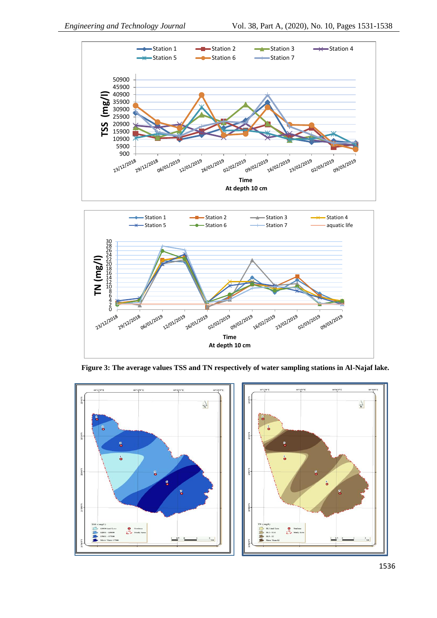



**Figure 3: The average values TSS and TN respectively of water sampling stations in Al-Najaf lake.**

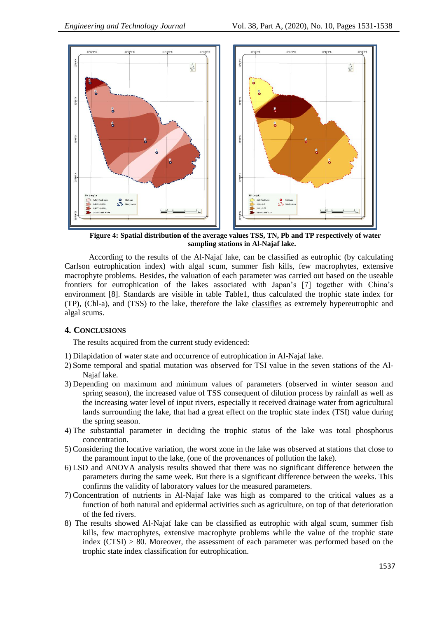

**Figure 4: Spatial distribution of the average values TSS, TN, Pb and TP respectively of water sampling stations in Al-Najaf lake.**

According to the results of the Al-Najaf lake, can be classified as eutrophic (by calculating Carlson eutrophication index) with algal scum, summer fish kills, few macrophytes, extensive macrophyte problems. Besides, the valuation of each parameter was carried out based on the useable frontiers for eutrophication of the lakes associated with Japan's [7] together with China's environment [8]. Standards are visible in table Table1, thus calculated the trophic state index for (TP), (Chl-a), and (TSS) to the lake, therefore the lake classifies as extremely hypereutrophic and algal scums.

## **4. CONCLUSIONS**

The results acquired from the current study evidenced:

- 1) Dilapidation of water state and occurrence of eutrophication in Al-Najaf lake.
- 2) Some temporal and spatial mutation was observed for TSI value in the seven stations of the Al-Najaf lake.
- 3) Depending on maximum and minimum values of parameters (observed in winter season and spring season), the increased value of TSS consequent of dilution process by rainfall as well as the increasing water level of input rivers, especially it received drainage water from agricultural lands surrounding the lake, that had a great effect on the trophic state index (TSI) value during the spring season.
- 4) The substantial parameter in deciding the trophic status of the lake was total phosphorus concentration.
- 5) Considering the locative variation, the worst zone in the lake was observed at stations that close to the paramount input to the lake, (one of the provenances of pollution the lake).
- 6) LSD and ANOVA analysis results showed that there was no significant difference between the parameters during the same week. But there is a significant difference between the weeks. This confirms the validity of laboratory values for the measured parameters.
- 7) Concentration of nutrients in Al-Najaf lake was high as compared to the critical values as a function of both natural and epidermal activities such as agriculture, on top of that deterioration of the fed rivers.
- 8) The results showed Al-Najaf lake can be classified as eutrophic with algal scum, summer fish kills, few macrophytes, extensive macrophyte problems while the value of the trophic state index (CTSI) > 80. Moreover, the assessment of each parameter was performed based on the trophic state index classification for eutrophication.